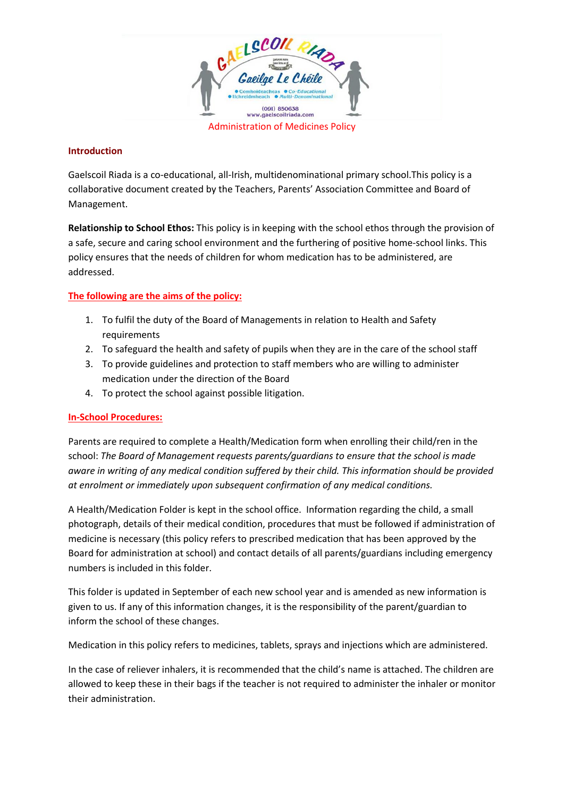

#### **Introduction**

Gaelscoil Riada is a co-educational, all-Irish, multidenominational primary school.This policy is a collaborative document created by the Teachers, Parents' Association Committee and Board of Management.

**Relationship to School Ethos:** This policy is in keeping with the school ethos through the provision of a safe, secure and caring school environment and the furthering of positive home-school links. This policy ensures that the needs of children for whom medication has to be administered, are addressed.

# **The following are the aims of the policy:**

- 1. To fulfil the duty of the Board of Managements in relation to Health and Safety requirements
- 2. To safeguard the health and safety of pupils when they are in the care of the school staff
- 3. To provide guidelines and protection to staff members who are willing to administer medication under the direction of the Board
- 4. To protect the school against possible litigation.

## **In-School Procedures:**

Parents are required to complete a Health/Medication form when enrolling their child/ren in the school: *The Board of Management requests parents/guardians to ensure that the school is made aware in writing of any medical condition suffered by their child. This information should be provided at enrolment or immediately upon subsequent confirmation of any medical conditions.* 

A Health/Medication Folder is kept in the school office. Information regarding the child, a small photograph, details of their medical condition, procedures that must be followed if administration of medicine is necessary (this policy refers to prescribed medication that has been approved by the Board for administration at school) and contact details of all parents/guardians including emergency numbers is included in this folder.

This folder is updated in September of each new school year and is amended as new information is given to us. If any of this information changes, it is the responsibility of the parent/guardian to inform the school of these changes.

Medication in this policy refers to medicines, tablets, sprays and injections which are administered.

In the case of reliever inhalers, it is recommended that the child's name is attached. The children are allowed to keep these in their bags if the teacher is not required to administer the inhaler or monitor their administration.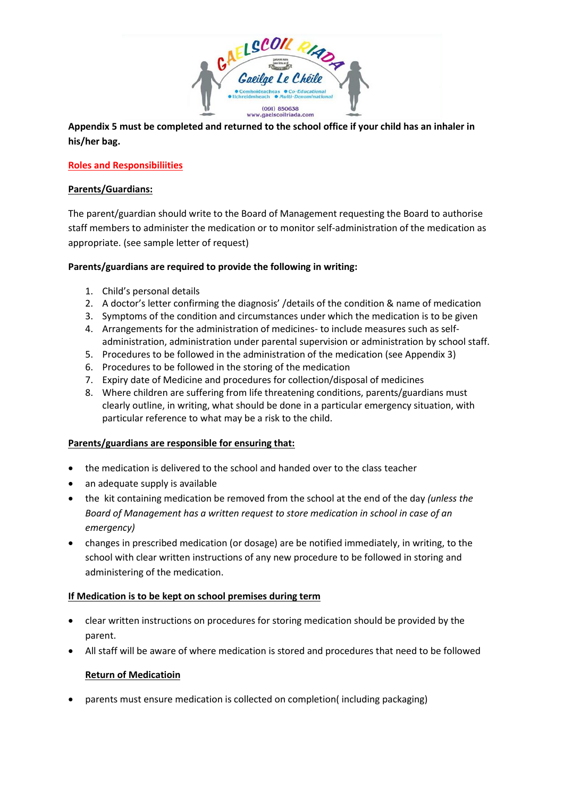

**Appendix 5 must be completed and returned to the school office if your child has an inhaler in his/her bag.** 

## **Roles and Responsibiliities**

#### **Parents/Guardians:**

The parent/guardian should write to the Board of Management requesting the Board to authorise staff members to administer the medication or to monitor self-administration of the medication as appropriate. (see sample letter of request)

#### **Parents/guardians are required to provide the following in writing:**

- 1. Child's personal details
- 2. A doctor's letter confirming the diagnosis' /details of the condition & name of medication
- 3. Symptoms of the condition and circumstances under which the medication is to be given
- 4. Arrangements for the administration of medicines- to include measures such as selfadministration, administration under parental supervision or administration by school staff.
- 5. Procedures to be followed in the administration of the medication (see Appendix 3)
- 6. Procedures to be followed in the storing of the medication
- 7. Expiry date of Medicine and procedures for collection/disposal of medicines
- 8. Where children are suffering from life threatening conditions, parents/guardians must clearly outline, in writing, what should be done in a particular emergency situation, with particular reference to what may be a risk to the child.

## **Parents/guardians are responsible for ensuring that:**

- the medication is delivered to the school and handed over to the class teacher
- an adequate supply is available
- the kit containing medication be removed from the school at the end of the day *(unless the Board of Management has a written request to store medication in school in case of an emergency)*
- changes in prescribed medication (or dosage) are be notified immediately, in writing, to the school with clear written instructions of any new procedure to be followed in storing and administering of the medication.

## **If Medication is to be kept on school premises during term**

- clear written instructions on procedures for storing medication should be provided by the parent.
- All staff will be aware of where medication is stored and procedures that need to be followed

## **Return of Medicatioin**

• parents must ensure medication is collected on completion( including packaging)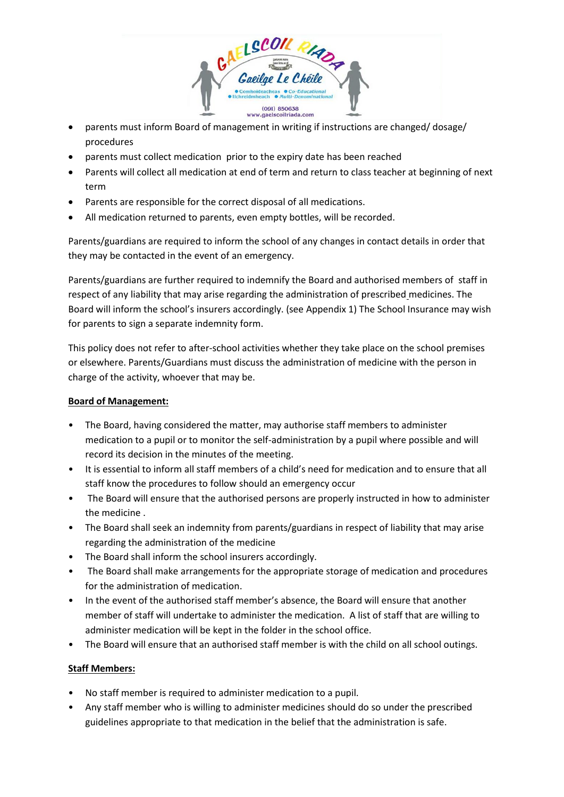

- parents must inform Board of management in writing if instructions are changed/ dosage/ procedures
- parents must collect medication prior to the expiry date has been reached
- Parents will collect all medication at end of term and return to class teacher at beginning of next term
- Parents are responsible for the correct disposal of all medications.
- All medication returned to parents, even empty bottles, will be recorded.

Parents/guardians are required to inform the school of any changes in contact details in order that they may be contacted in the event of an emergency.

Parents/guardians are further required to indemnify the Board and authorised members of staff in respect of any liability that may arise regarding the administration of prescribed medicines. The Board will inform the school's insurers accordingly. (see Appendix 1) The School Insurance may wish for parents to sign a separate indemnity form.

This policy does not refer to after-school activities whether they take place on the school premises or elsewhere. Parents/Guardians must discuss the administration of medicine with the person in charge of the activity, whoever that may be.

## **Board of Management:**

- The Board, having considered the matter, may authorise staff members to administer medication to a pupil or to monitor the self-administration by a pupil where possible and will record its decision in the minutes of the meeting.
- It is essential to inform all staff members of a child's need for medication and to ensure that all staff know the procedures to follow should an emergency occur
- The Board will ensure that the authorised persons are properly instructed in how to administer the medicine .
- The Board shall seek an indemnity from parents/guardians in respect of liability that may arise regarding the administration of the medicine
- The Board shall inform the school insurers accordingly.
- The Board shall make arrangements for the appropriate storage of medication and procedures for the administration of medication.
- In the event of the authorised staff member's absence, the Board will ensure that another member of staff will undertake to administer the medication. A list of staff that are willing to administer medication will be kept in the folder in the school office.
- The Board will ensure that an authorised staff member is with the child on all school outings.

## **Staff Members:**

- No staff member is required to administer medication to a pupil.
- Any staff member who is willing to administer medicines should do so under the prescribed guidelines appropriate to that medication in the belief that the administration is safe.